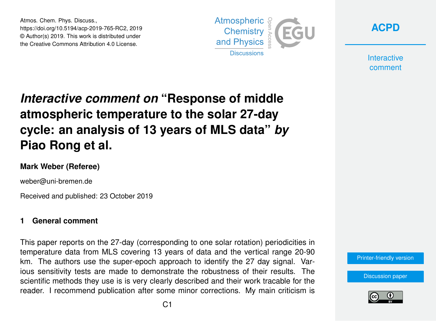Atmos. Chem. Phys. Discuss., https://doi.org/10.5194/acp-2019-765-RC2, 2019 © Author(s) 2019. This work is distributed under the Creative Commons Attribution 4.0 License.





**Interactive** comment

# *Interactive comment on* **"Response of middle atmospheric temperature to the solar 27-day cycle: an analysis of 13 years of MLS data"** *by* **Piao Rong et al.**

#### **Mark Weber (Referee)**

weber@uni-bremen.de

Received and published: 23 October 2019

#### **1 General comment**

This paper reports on the 27-day (corresponding to one solar rotation) periodicities in temperature data from MLS covering 13 years of data and the vertical range 20-90 km. The authors use the super-epoch approach to identify the 27 day signal. Various sensitivity tests are made to demonstrate the robustness of their results. The scientific methods they use is is very clearly described and their work tracable for the reader. I recommend publication after some minor corrections. My main criticism is



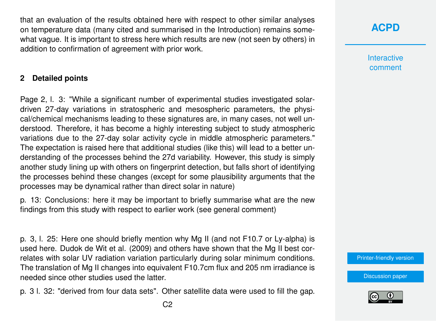that an evaluation of the results obtained here with respect to other similar analyses on temperature data (many cited and summarised in the Introduction) remains somewhat vague. It is important to stress here which results are new (not seen by others) in addition to confirmation of agreement with prior work.

#### **2 Detailed points**

Page 2, l. 3: "While a significant number of experimental studies investigated solardriven 27-day variations in stratospheric and mesospheric parameters, the physical/chemical mechanisms leading to these signatures are, in many cases, not well understood. Therefore, it has become a highly interesting subject to study atmospheric variations due to the 27-day solar activity cycle in middle atmospheric parameters." The expectation is raised here that additional studies (like this) will lead to a better understanding of the processes behind the 27d variability. However, this study is simply another study lining up with others on fingerprint detection, but falls short of identifying the processes behind these changes (except for some plausibility arguments that the processes may be dynamical rather than direct solar in nature)

p. 13: Conclusions: here it may be important to briefly summarise what are the new findings from this study with respect to earlier work (see general comment)

p. 3, l. 25: Here one should briefly mention why Mg II (and not F10.7 or Ly-alpha) is used here. Dudok de Wit et al. (2009) and others have shown that the Mg II best correlates with solar UV radiation variation particularly during solar minimum conditions. The translation of Mg II changes into equivalent F10.7cm flux and 205 nm irradiance is needed since other studies used the latter.

p. 3 l. 32: "derived from four data sets". Other satellite data were used to fill the gap.

**Interactive** comment

[Printer-friendly version](https://www.atmos-chem-phys-discuss.net/acp-2019-765/acp-2019-765-RC2-print.pdf)

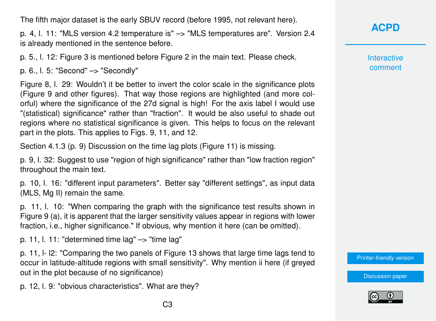The fifth major dataset is the early SBUV record (before 1995, not relevant here).

p. 4, l. 11: "MLS version 4.2 temperature is" –> "MLS temperatures are". Version 2.4 is already mentioned in the sentence before.

p. 5., l. 12: Figure 3 is mentioned before Figure 2 in the main text. Please check.

p. 6., l. 5: "Second" –> "Secondly"

Figure 8, l. 29: Wouldn't it be better to invert the color scale in the significance plots (Figure 9 and other figures). That way those regions are highlighted (and more colorful) where the significance of the 27d signal is high! For the axis label I would use "(statistical) significance" rather than "fraction". It would be also useful to shade out regions where no statistical significance is given. This helps to focus on the relevant part in the plots. This applies to Figs. 9, 11, and 12.

Section 4.1.3 (p. 9) Discussion on the time lag plots (Figure 11) is missing.

p. 9, l. 32: Suggest to use "region of high significance" rather than "low fraction region" throughout the main text.

p. 10, l. 16: "different input parameters". Better say "different settings", as input data (MLS, Mg II) remain the same.

p. 11, l. 10: "When comparing the graph with the significance test results shown in Figure 9 (a), it is apparent that the larger sensitivity values appear in regions with lower fraction, i.e., higher significance." If obvious, why mention it here (can be omitted).

p. 11, l. 11: "determined time  $lag" \rightarrow"$ time  $lag"$ 

p. 11, l- l2: "Comparing the two panels of Figure 13 shows that large time lags tend to occur in latitude-altitude regions with small sensitivity". Why mention ii here (if greyed out in the plot because of no significance)

p. 12, l. 9: "obvious characteristics". What are they?

**[ACPD](https://www.atmos-chem-phys-discuss.net/)**

Interactive comment

[Printer-friendly version](https://www.atmos-chem-phys-discuss.net/acp-2019-765/acp-2019-765-RC2-print.pdf)